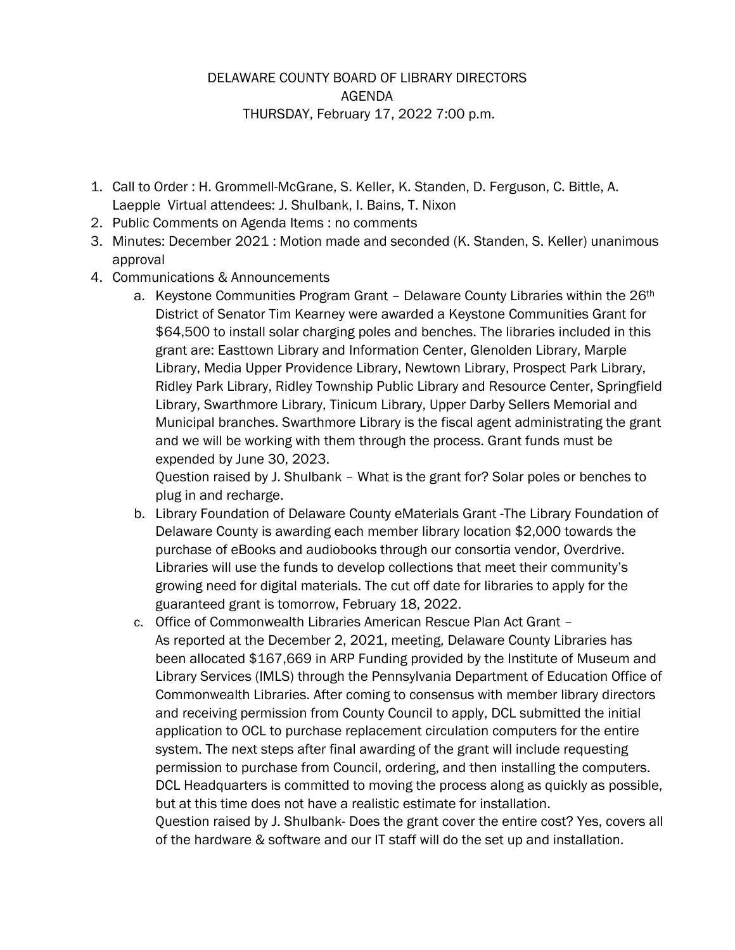## DELAWARE COUNTY BOARD OF LIBRARY DIRECTORS AGENDA THURSDAY, February 17, 2022 7:00 p.m.

- 1. Call to Order : H. Grommell-McGrane, S. Keller, K. Standen, D. Ferguson, C. Bittle, A. Laepple Virtual attendees: J. Shulbank, I. Bains, T. Nixon
- 2. Public Comments on Agenda Items : no comments
- 3. Minutes: December 2021 : Motion made and seconded (K. Standen, S. Keller) unanimous approval
- 4. Communications & Announcements
	- a. Keystone Communities Program Grant Delaware County Libraries within the 26<sup>th</sup> District of Senator Tim Kearney were awarded a Keystone Communities Grant for \$64,500 to install solar charging poles and benches. The libraries included in this grant are: Easttown Library and Information Center, Glenolden Library, Marple Library, Media Upper Providence Library, Newtown Library, Prospect Park Library, Ridley Park Library, Ridley Township Public Library and Resource Center, Springfield Library, Swarthmore Library, Tinicum Library, Upper Darby Sellers Memorial and Municipal branches. Swarthmore Library is the fiscal agent administrating the grant and we will be working with them through the process. Grant funds must be expended by June 30, 2023.

Question raised by J. Shulbank – What is the grant for? Solar poles or benches to plug in and recharge.

- b. Library Foundation of Delaware County eMaterials Grant -The Library Foundation of Delaware County is awarding each member library location \$2,000 towards the purchase of eBooks and audiobooks through our consortia vendor, Overdrive. Libraries will use the funds to develop collections that meet their community's growing need for digital materials. The cut off date for libraries to apply for the guaranteed grant is tomorrow, February 18, 2022.
- c. Office of Commonwealth Libraries American Rescue Plan Act Grant As reported at the December 2, 2021, meeting, Delaware County Libraries has been allocated \$167,669 in ARP Funding provided by the Institute of Museum and Library Services (IMLS) through the Pennsylvania Department of Education Office of Commonwealth Libraries. After coming to consensus with member library directors and receiving permission from County Council to apply, DCL submitted the initial application to OCL to purchase replacement circulation computers for the entire system. The next steps after final awarding of the grant will include requesting permission to purchase from Council, ordering, and then installing the computers. DCL Headquarters is committed to moving the process along as quickly as possible, but at this time does not have a realistic estimate for installation.

Question raised by J. Shulbank- Does the grant cover the entire cost? Yes, covers all of the hardware & software and our IT staff will do the set up and installation.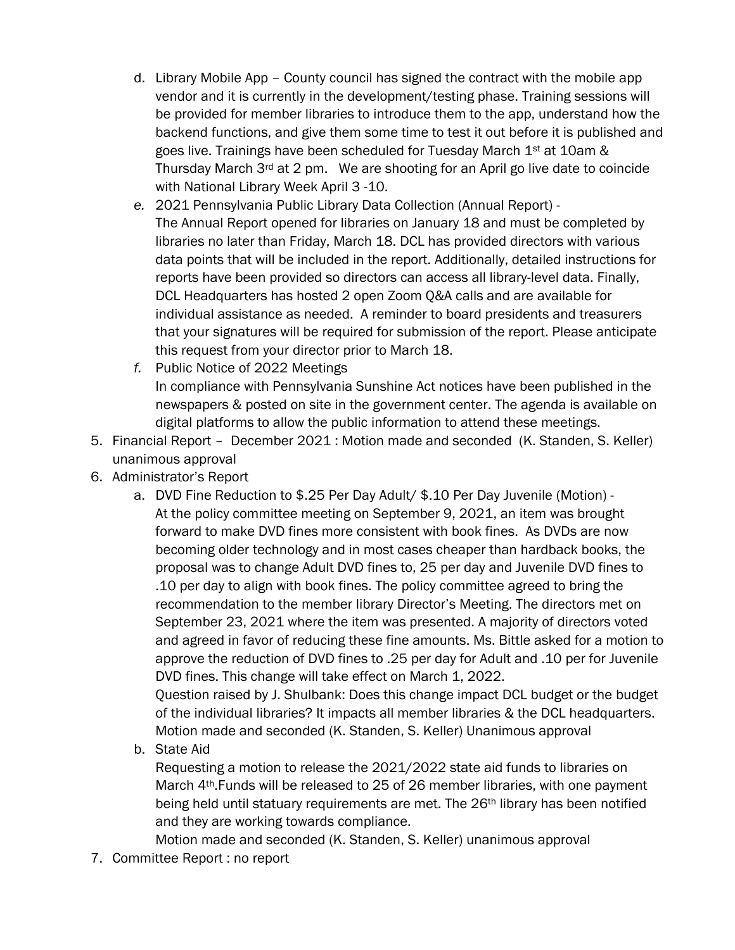- d. Library Mobile App County council has signed the contract with the mobile app vendor and it is currently in the development/testing phase. Training sessions will be provided for member libraries to introduce them to the app, understand how the backend functions, and give them some time to test it out before it is published and goes live. Trainings have been scheduled for Tuesday March  $1<sup>st</sup>$  at 10am & Thursday March 3rd at 2 pm. We are shooting for an April go live date to coincide with National Library Week April 3 -10.
- *e.* 2021 Pennsylvania Public Library Data Collection (Annual Report) The Annual Report opened for libraries on January 18 and must be completed by libraries no later than Friday, March 18. DCL has provided directors with various data points that will be included in the report. Additionally, detailed instructions for reports have been provided so directors can access all library-level data. Finally, DCL Headquarters has hosted 2 open Zoom Q&A calls and are available for individual assistance as needed. A reminder to board presidents and treasurers that your signatures will be required for submission of the report. Please anticipate this request from your director prior to March 18.
- *f.* Public Notice of 2022 Meetings In compliance with Pennsylvania Sunshine Act notices have been published in the newspapers & posted on site in the government center. The agenda is available on digital platforms to allow the public information to attend these meetings.
- 5. Financial Report December 2021 : Motion made and seconded (K. Standen, S. Keller) unanimous approval
- 6. Administrator's Report
	- a. DVD Fine Reduction to \$.25 Per Day Adult/ \$.10 Per Day Juvenile (Motion) At the policy committee meeting on September 9, 2021, an item was brought forward to make DVD fines more consistent with book fines. As DVDs are now becoming older technology and in most cases cheaper than hardback books, the proposal was to change Adult DVD fines to, 25 per day and Juvenile DVD fines to .10 per day to align with book fines. The policy committee agreed to bring the recommendation to the member library Director's Meeting. The directors met on September 23, 2021 where the item was presented. A majority of directors voted and agreed in favor of reducing these fine amounts. Ms. Bittle asked for a motion to approve the reduction of DVD fines to .25 per day for Adult and .10 per for Juvenile DVD fines. This change will take effect on March 1, 2022.

Question raised by J. Shulbank: Does this change impact DCL budget or the budget of the individual libraries? It impacts all member libraries & the DCL headquarters. Motion made and seconded (K. Standen, S. Keller) Unanimous approval

b. State Aid

Requesting a motion to release the 2021/2022 state aid funds to libraries on March 4th.Funds will be released to 25 of 26 member libraries, with one payment being held until statuary requirements are met. The 26<sup>th</sup> library has been notified and they are working towards compliance.

Motion made and seconded (K. Standen, S. Keller) unanimous approval

7. Committee Report : no report